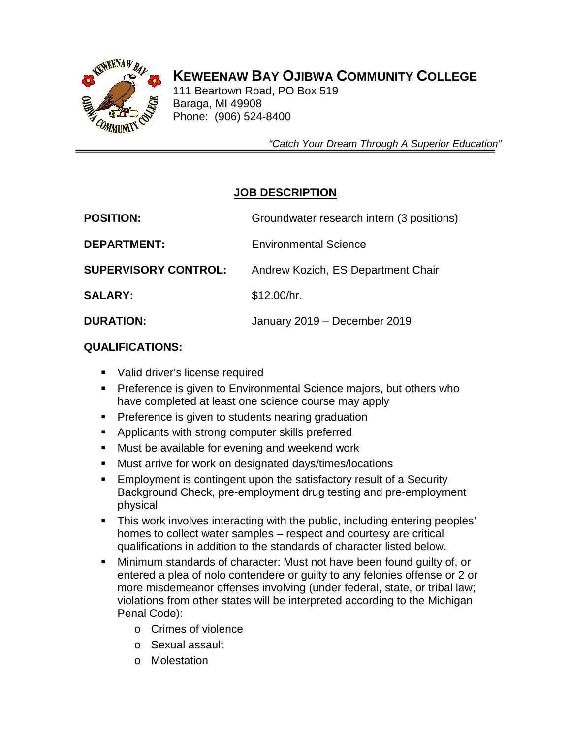

# **KEWEENAW BAY OJIBWA COMMUNITY COLLEGE**

 111 Beartown Road, PO Box 519 Baraga, MI 49908 Phone: (906) 524-8400

 *"Catch Your Dream Through A Superior Education"*

## **JOB DESCRIPTION**

| <b>POSITION:</b>            | Groundwater research intern (3 positions) |
|-----------------------------|-------------------------------------------|
| <b>DEPARTMENT:</b>          | <b>Environmental Science</b>              |
| <b>SUPERVISORY CONTROL:</b> | Andrew Kozich, ES Department Chair        |
| <b>SALARY:</b>              | \$12.00/hr.                               |
| <b>DURATION:</b>            | January 2019 - December 2019              |

## **QUALIFICATIONS:**

- **Valid driver's license required**
- **Preference is given to Environmental Science majors, but others who** have completed at least one science course may apply
- **Preference is given to students nearing graduation**
- **Applicants with strong computer skills preferred**
- **Must be available for evening and weekend work**
- Must arrive for work on designated days/times/locations
- **Employment is contingent upon the satisfactory result of a Security** Background Check, pre-employment drug testing and pre-employment physical
- This work involves interacting with the public, including entering peoples' homes to collect water samples – respect and courtesy are critical qualifications in addition to the standards of character listed below.
- Minimum standards of character: Must not have been found guilty of, or entered a plea of nolo contendere or guilty to any felonies offense or 2 or more misdemeanor offenses involving (under federal, state, or tribal law; violations from other states will be interpreted according to the Michigan Penal Code):
	- o Crimes of violence
	- o Sexual assault
	- o Molestation